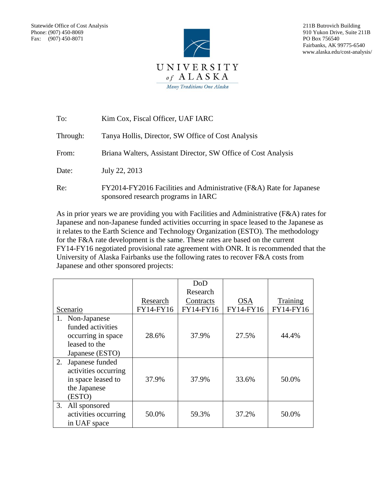

 211B Butrovich Building 910 Yukon Drive, Suite 211B PO Box 756540 Fairbanks, AK 99775-6540 www.alaska.edu/cost-analysis/

| To:      | Kim Cox, Fiscal Officer, UAF IARC                                                                          |
|----------|------------------------------------------------------------------------------------------------------------|
| Through: | Tanya Hollis, Director, SW Office of Cost Analysis                                                         |
| From:    | Briana Walters, Assistant Director, SW Office of Cost Analysis                                             |
| Date:    | July 22, 2013                                                                                              |
| Re:      | FY2014-FY2016 Facilities and Administrative (F&A) Rate for Japanese<br>sponsored research programs in IARC |

As in prior years we are providing you with Facilities and Administrative (F&A) rates for Japanese and non-Japanese funded activities occurring in space leased to the Japanese as it relates to the Earth Science and Technology Organization (ESTO). The methodology for the F&A rate development is the same. These rates are based on the current FY14-FY16 negotiated provisional rate agreement with ONR. It is recommended that the University of Alaska Fairbanks use the following rates to recover F&A costs from Japanese and other sponsored projects:

|                       |           | DoD       |            |                 |
|-----------------------|-----------|-----------|------------|-----------------|
|                       |           | Research  |            |                 |
|                       | Research  | Contracts | <b>OSA</b> | <b>Training</b> |
| Scenario              | FY14-FY16 | FY14-FY16 | FY14-FY16  | FY14-FY16       |
| Non-Japanese<br>1.    |           |           |            |                 |
| funded activities     |           |           |            |                 |
| occurring in space    | 28.6%     | 37.9%     | 27.5%      | 44.4%           |
| leased to the         |           |           |            |                 |
| Japanese (ESTO)       |           |           |            |                 |
| Japanese funded<br>2. |           |           |            |                 |
| activities occurring  |           |           |            |                 |
| in space leased to    | 37.9%     | 37.9%     | 33.6%      | 50.0%           |
| the Japanese          |           |           |            |                 |
| (ESTO)                |           |           |            |                 |
| 3.<br>All sponsored   |           |           |            |                 |
| activities occurring  | 50.0%     | 59.3%     | 37.2%      | 50.0%           |
| in UAF space          |           |           |            |                 |